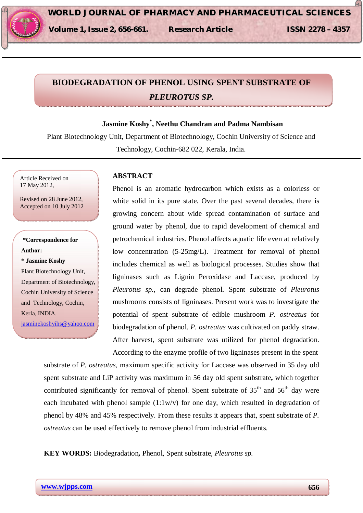# **BIODEGRADATION OF PHENOL USING SPENT SUBSTRATE OF**  *PLEUROTUS SP.*

# **Jasmine Koshy\* , Neethu Chandran and Padma Nambisan**

Plant Biotechnology Unit, Department of Biotechnology, Cochin University of Science and Technology, Cochin-682 022, Kerala, India.

Article Received on 17 May 2012,

Revised on 28 June 2012, Accepted on 10 July 2012

# **\*Correspondence for Author:**

**\* Jasmine Koshy** Plant Biotechnology Unit, Department of Biotechnology, Cochin University of Science

and Technology, Cochin,

Kerla, INDIA. jasminekoshyihs@yahoo.com

## **ABSTRACT**

Phenol is an aromatic hydrocarbon which exists as a colorless or white solid in its pure state. Over the past several decades, there is growing concern about wide spread contamination of surface and ground water by phenol, due to rapid development of chemical and petrochemical industries. Phenol affects aquatic life even at relatively low concentration (5-25mg/L). Treatment for removal of phenol includes chemical as well as biological processes. Studies show that ligninases such as Lignin Peroxidase and Laccase, produced by *Pleurotus sp.*, can degrade phenol. Spent substrate of *Pleurotus*  mushrooms consists of ligninases. Present work was to investigate the potential of spent substrate of edible mushroom *P. ostreatus* for biodegradation of phenol. *P. ostreatus* was cultivated on paddy straw. After harvest, spent substrate was utilized for phenol degradation. According to the enzyme profile of two ligninases present in the spent

substrate of *P. ostreatus*, maximum specific activity for Laccase was observed in 35 day old spent substrate and LiP activity was maximum in 56 day old spent substrate**,** which together contributed significantly for removal of phenol. Spent substrate of  $35<sup>th</sup>$  and  $56<sup>th</sup>$  day were each incubated with phenol sample  $(1:1w/v)$  for one day, which resulted in degradation of phenol by 48% and 45% respectively. From these results it appears that, spent substrate of *P. ostreatus* can be used effectively to remove phenol from industrial effluents.

**KEY WORDS:** Biodegradation**,** Phenol, Spent substrate, *Pleurotus sp.*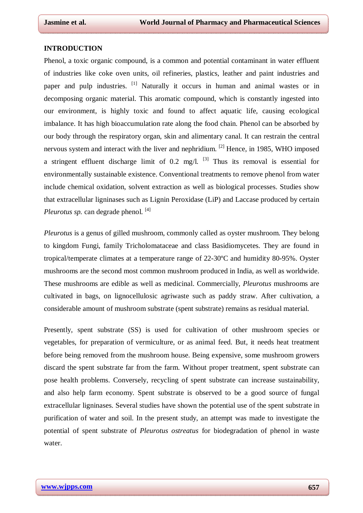#### **INTRODUCTION**

Phenol, a toxic organic compound, is a common and potential contaminant in water effluent of industries like coke oven units, oil refineries, plastics, leather and paint industries and paper and pulp industries. <sup>[1]</sup> Naturally it occurs in human and animal wastes or in decomposing organic material. This aromatic compound, which is constantly ingested into our environment, is highly toxic and found to affect aquatic life, causing ecological imbalance. It has high bioaccumulation rate along the food chain. Phenol can be absorbed by our body through the respiratory organ, skin and alimentary canal. It can restrain the central nervous system and interact with the liver and nephridium. <sup>[2]</sup> Hence, in 1985, WHO imposed a stringent effluent discharge limit of 0.2 mg/l.  $^{[3]}$  Thus its removal is essential for environmentally sustainable existence. Conventional treatments to remove phenol from water include chemical oxidation, solvent extraction as well as biological processes. Studies show that extracellular ligninases such as Lignin Peroxidase (LiP) and Laccase produced by certain *Pleurotus sp.* can degrade phenol. [4]

*Pleurotus* is a genus of gilled mushroom, commonly called as oyster mushroom. They belong to kingdom Fungi, family Tricholomataceae and class Basidiomycetes. They are found in tropical/temperate climates at a temperature range of 22-30ºC and humidity 80-95%. Oyster mushrooms are the second most common mushroom produced in India, as well as worldwide. These mushrooms are edible as well as medicinal. Commercially, *Pleurotus* mushrooms are cultivated in bags, on lignocellulosic agriwaste such as paddy straw. After cultivation, a considerable amount of mushroom substrate (spent substrate) remains as residual material.

Presently, spent substrate (SS) is used for cultivation of other mushroom species or vegetables, for preparation of vermiculture, or as animal feed. But, it needs heat treatment before being removed from the mushroom house. Being expensive, some mushroom growers discard the spent substrate far from the farm. Without proper treatment, spent substrate can pose health problems. Conversely, recycling of spent substrate can increase sustainability, and also help farm economy. Spent substrate is observed to be a good source of fungal extracellular ligninases. Several studies have shown the potential use of the spent substrate in purification of water and soil. In the present study, an attempt was made to investigate the potential of spent substrate of *Pleurotus ostreatus* for biodegradation of phenol in waste water.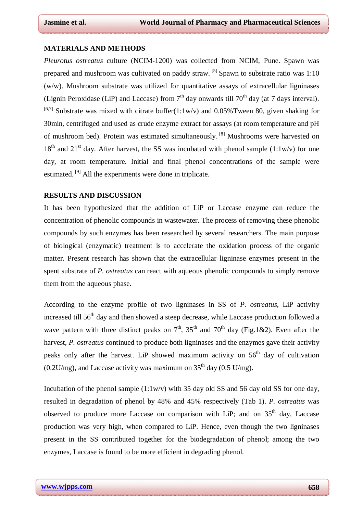#### **MATERIALS AND METHODS**

*Pleurotus ostreatus* culture (NCIM-1200) was collected from NCIM, Pune. Spawn was prepared and mushroom was cultivated on paddy straw. <sup>[5]</sup> Spawn to substrate ratio was 1:10 (w/w). Mushroom substrate was utilized for quantitative assays of extracellular ligninases (Lignin Peroxidase (LiP) and Laccase) from  $7<sup>th</sup>$  day onwards till  $70<sup>th</sup>$  day (at 7 days interval). <sup>[6,7]</sup> Substrate was mixed with citrate buffer(1:1w/v) and 0.05%Tween 80, given shaking for 30min, centrifuged and used as crude enzyme extract for assays (at room temperature and pH of mushroom bed). Protein was estimated simultaneously. <sup>[8]</sup> Mushrooms were harvested on  $18<sup>th</sup>$  and  $21<sup>st</sup>$  day. After harvest, the SS was incubated with phenol sample (1:1w/v) for one day, at room temperature. Initial and final phenol concentrations of the sample were estimated.<sup>[9]</sup> All the experiments were done in triplicate.

#### **RESULTS AND DISCUSSION**

It has been hypothesized that the addition of LiP or Laccase enzyme can reduce the concentration of phenolic compounds in wastewater. The process of removing these phenolic compounds by such enzymes has been researched by several researchers. The main purpose of biological (enzymatic) treatment is to accelerate the oxidation process of the organic matter. Present research has shown that the extracellular ligninase enzymes present in the spent substrate of *P. ostreatus* can react with aqueous phenolic compounds to simply remove them from the aqueous phase.

According to the enzyme profile of two ligninases in SS of *P. ostreatus*, LiP activity increased till 56<sup>th</sup> day and then showed a steep decrease, while Laccase production followed a wave pattern with three distinct peaks on  $7<sup>th</sup>$ ,  $35<sup>th</sup>$  and  $70<sup>th</sup>$  day (Fig.1&2). Even after the harvest, *P. ostreatus* continued to produce both ligninases and the enzymes gave their activity peaks only after the harvest. LiP showed maximum activity on  $56<sup>th</sup>$  day of cultivation  $(0.2 U/mg)$ , and Laccase activity was maximum on 35<sup>th</sup> day (0.5 U/mg).

Incubation of the phenol sample  $(1:1w/v)$  with 35 day old SS and 56 day old SS for one day, resulted in degradation of phenol by 48% and 45% respectively (Tab 1). *P. ostreatus* was observed to produce more Laccase on comparison with LiP; and on  $35<sup>th</sup>$  day, Laccase production was very high, when compared to LiP. Hence, even though the two ligninases present in the SS contributed together for the biodegradation of phenol; among the two enzymes, Laccase is found to be more efficient in degrading phenol.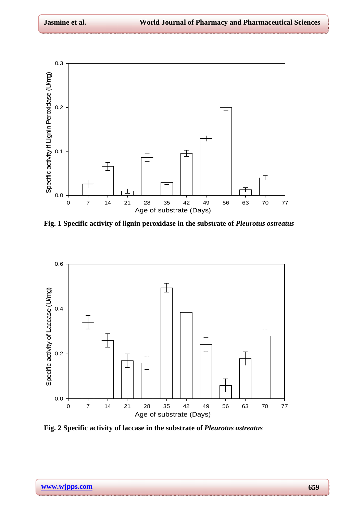

**Fig. 1 Specific activity of lignin peroxidase in the substrate of** *Pleurotus ostreatus*



**Fig. 2 Specific activity of laccase in the substrate of** *Pleurotus ostreatus*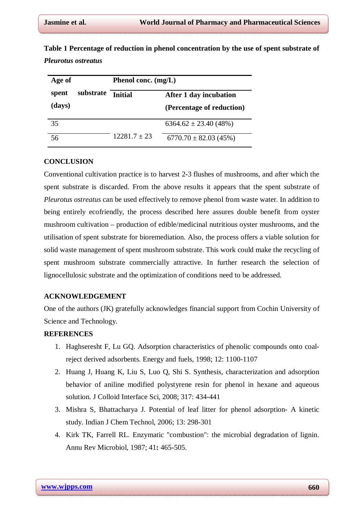| Age of |           | Phenol conc. $(mg/L)$ |                           |
|--------|-----------|-----------------------|---------------------------|
| spent  | substrate | <b>Initial</b>        | After 1 day incubation    |
| (days) |           |                       | (Percentage of reduction) |
| 35     |           |                       | $6364.62 \pm 23.40$ (48%) |
| 56     |           | $12281.7+23$          | $6770.70 \pm 82.03$ (45%) |

**Table 1 Percentage of reduction in phenol concentration by the use of spent substrate of**  *Pleurotus ostreatus*

### **CONCLUSION**

Conventional cultivation practice is to harvest 2-3 flushes of mushrooms, and after which the spent substrate is discarded. From the above results it appears that the spent substrate of *Pleurotus ostreatus* can be used effectively to remove phenol from waste water. In addition to being entirely ecofriendly, the process described here assures double benefit from oyster mushroom cultivation – production of edible/medicinal nutritious oyster mushrooms, and the utilisation of spent substrate for bioremediation. Also, the process offers a viable solution for solid waste management of spent mushroom substrate. This work could make the recycling of spent mushroom substrate commercially attractive. In further research the selection of lignocellulosic substrate and the optimization of conditions need to be addressed.

## **ACKNOWLEDGEMENT**

One of the authors (JK) gratefully acknowledges financial support from Cochin University of Science and Technology.

## **REFERENCES**

- 1. Haghseresht F, Lu GQ. Adsorption characteristics of phenolic compounds onto coalreject derived adsorbents. Energy and fuels, 1998; 12: 1100-1107
- 2. Huang J, Huang K, Liu S, Luo Q, Shi S. Synthesis, characterization and adsorption behavior of aniline modified polystyrene resin for phenol in hexane and aqueous solution. J Colloid Interface Sci*,* 2008; 317: 434-441
- 3. Mishra S, Bhattacharya J. Potential of leaf litter for phenol adsorption- A kinetic study. Indian J Chem Technol, 2006; 13: 298-301
- 4. Kirk TK, Farrell RL. Enzymatic "combustion": the microbial degradation of lignin. Annu Rev Microbiol*,* 1987; 41**:** 465-505.